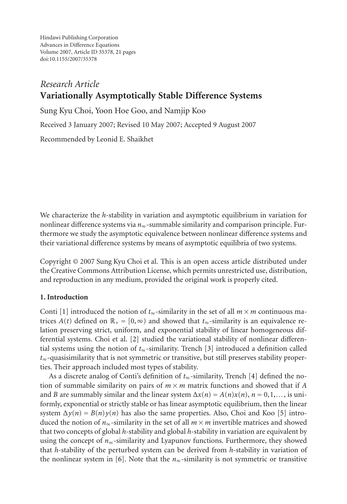Hindawi Publishing Corporation Advances in Difference Equations Volume 2007, Article ID 35378, [21](#page-19-0) pages doi:10.1155/2007/35378

# *Research Article* **Variationally Asymptotically Stable Difference Systems**

Sung Kyu Choi, Yoon Hoe Goo, and Namjip Koo

Received 3 January 2007; Revised 10 May 2007; Accepted 9 August 2007

Recommended by Leonid E. Shaikhet

We characterize the *h*-stability in variation and asymptotic equilibrium in variation for nonlinear difference systems via *n*∞-summable similarity and comparison principle. Furthermore we study the asymptotic equivalence between nonlinear difference systems and their variational difference systems by means of asymptotic equilibria of two systems.

Copyright © 2007 Sung Kyu Choi et al. This is an open access article distributed under the Creative Commons Attribution License, which permits unrestricted use, distribution, and reproduction in any medium, provided the original work is properly cited.

## **1. Introduction**

Conti [\[1\]](#page-19-1) introduced the notion of  $t_{\infty}$ -similarity in the set of all  $m \times m$  continuous matrices  $A(t)$  defined on  $\mathbb{R}_+ = [0, \infty)$  and showed that  $t_{\infty}$ -similarity is an equivalence relation preserving strict, uniform, and exponential stability of linear homogeneous differential systems. Choi et al. [\[2\]](#page-19-2) studied the variational stability of nonlinear differential systems using the notion of *t*∞-similarity. Trench [\[3\]](#page-19-3) introduced a definition called *t*∞-quasisimilarity that is not symmetric or transitive, but still preserves stability properties. Their approach included most types of stability.

As a discrete analog of Conti's definition of *t*∞-similarity, Trench [\[4\]](#page-19-4) defined the notion of summable similarity on pairs of  $m \times m$  matrix functions and showed that if *A* and *B* are summably similar and the linear system  $\Delta x(n) = A(n)x(n)$ ,  $n = 0, 1, \ldots$ , is uniformly, exponential or strictly stable or has linear asymptotic equilibrium, then the linear system  $\Delta y(n) = B(n)y(n)$  has also the same properties. Also, Choi and Koo [\[5\]](#page-19-5) introduced the notion of  $n_{\infty}$ -similarity in the set of all  $m \times m$  invertible matrices and showed that two concepts of global *h*-stability and global *h*-stability in variation are equivalent by using the concept of  $n_{\infty}$ -similarity and Lyapunov functions. Furthermore, they showed that *h*-stability of the perturbed system can be derived from *h*-stability in variation of the nonlinear system in [\[6](#page-19-6)]. Note that the  $n_{\infty}$ -similarity is not symmetric or transitive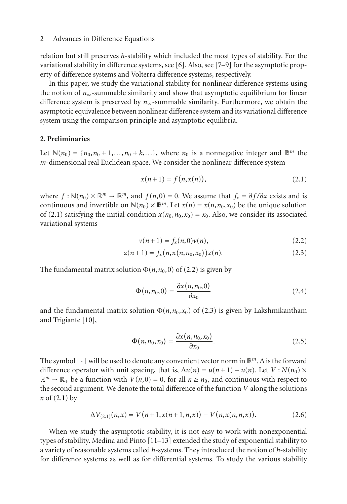relation but still preserves *h*-stability which included the most types of stability. For the variational stability in difference systems, see [\[6](#page-19-6)]. Also, see [\[7](#page-19-7)[–9\]](#page-19-8) for the asymptotic property of difference systems and Volterra difference systems, respectively.

In this paper, we study the variational stability for nonlinear difference systems using the notion of  $n_{\infty}$ -summable similarity and show that asymptotic equilibrium for linear difference system is preserved by *n*∞-summable similarity. Furthermore, we obtain the asymptotic equivalence between nonlinear difference system and its variational difference system using the comparison principle and asymptotic equilibria.

## **2. Preliminaries**

Let  $\mathbb{N}(n_0) = \{n_0, n_0 + 1, \ldots, n_0 + k, \ldots\}$ , where  $n_0$  is a nonnegative integer and  $\mathbb{R}^m$  the *m*-dimensional real Euclidean space. We consider the nonlinear difference system

<span id="page-1-0"></span>
$$
x(n+1) = f(n, x(n)),
$$
\n(2.1)

where  $f : \mathbb{N}(n_0) \times \mathbb{R}^m \to \mathbb{R}^m$ , and  $f(n,0) = 0$ . We assume that  $f_x = \frac{\partial f}{\partial x}$  exists and is continuous and invertible on  $\mathbb{N}(n_0) \times \mathbb{R}^m$ . Let  $x(n) = x(n, n_0, x_0)$  be the unique solution of [\(2.1\)](#page-1-0) satisfying the initial condition  $x(n_0, n_0, x_0) = x_0$ . Also, we consider its associated variational systems

<span id="page-1-2"></span><span id="page-1-1"></span>
$$
\nu(n+1) = f_x(n,0)\nu(n),
$$
\n(2.2)

$$
z(n+1) = f_x(n, x(n, n_0, x_0)) z(n).
$$
 (2.3)

The fundamental matrix solution  $\Phi(n, n_0, 0)$  of [\(2.2\)](#page-1-1) is given by

$$
\Phi(n, n_0, 0) = \frac{\partial x(n, n_0, 0)}{\partial x_0} \tag{2.4}
$$

and the fundamental matrix solution  $\Phi(n, n_0, x_0)$  of [\(2.3\)](#page-1-2) is given by Lakshmikantham and Trigiante [\[10](#page-19-9)],

$$
\Phi(n, n_0, x_0) = \frac{\partial x(n, n_0, x_0)}{\partial x_0}.
$$
\n(2.5)

The symbol |·| will be used to denote any convenient vector norm in <sup>R</sup>*m*. <sup>Δ</sup> is the forward difference operator with unit spacing, that is,  $\Delta u(n) = u(n+1) - u(n)$ . Let  $V : N(n_0) \times$  $\mathbb{R}^m \to \mathbb{R}_+$  be a function with  $V(n,0) = 0$ , for all  $n \ge n_0$ , and continuous with respect to the second argument. We denote the total difference of the function *V* along the solutions *x* of [\(2.1\)](#page-1-0) by

$$
\Delta V_{(2,1)}(n,x) = V(n+1,x(n+1,n,x)) - V(n,x(n,n,x)). \tag{2.6}
$$

When we study the asymptotic stability, it is not easy to work with nonexponential types of stability. Medina and Pinto [\[11](#page-19-10)[–13](#page-19-11)] extended the study of exponential stability to a variety of reasonable systems called *h*-systems. They introduced the notion of *h*-stability for difference systems as well as for differential systems. To study the various stability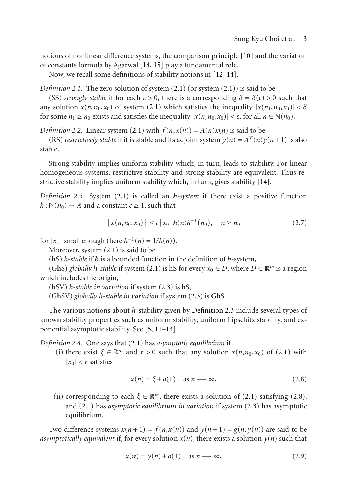notions of nonlinear difference systems, the comparison principle [\[10\]](#page-19-9) and the variation of constants formula by Agarwal [\[14](#page-19-12), [15\]](#page-19-13) play a fundamental role.

Now, we recall some definitions of stability notions in [\[12](#page-19-14)[–14](#page-19-12)].

*Definition 2.1.* The zero solution of system [\(2.1\)](#page-1-0) (or system [\(2.1\)](#page-1-0)) is said to be

(SS) *strongly stable* if for each  $\varepsilon > 0$ , there is a corresponding  $\delta = \delta(\varepsilon) > 0$  such that any solution  $x(n, n_0, x_0)$  of system [\(2.1\)](#page-1-0) which satisfies the inequality  $|x(n_1, n_0, x_0)| < \delta$ for some *n*<sub>1</sub> ≥ *n*<sub>0</sub> exists and satisfies the inequality  $|x(n, n_0, x_0)| < ε$ , for all *n* ∈ N(*n*<sub>0</sub>).

*Definition 2.2.* Linear system [\(2.1\)](#page-1-0) with  $f(n,x(n)) = A(n)x(n)$  is said to be

(RS) *restrictively stable* if it is stable and its adjoint system  $y(n) = A<sup>T</sup>(n)y(n+1)$  is also stable.

Strong stability implies uniform stability which, in turn, leads to stability. For linear homogeneous systems, restrictive stability and strong stability are equivalent. Thus restrictive stability implies uniform stability which, in turn, gives stability [\[14](#page-19-12)].

<span id="page-2-0"></span>*Definition 2.3.* System [\(2.1\)](#page-1-0) is called an *h-system* if there exist a positive function  $h: \mathbb{N}(n_0) \to \mathbb{R}$  and a constant  $c \geq 1$ , such that

$$
|x(n, n_0, x_0)| \le c |x_0| h(n) h^{-1}(n_0), \quad n \ge n_0
$$
 (2.7)

for  $|x_0|$  small enough (here  $h^{-1}(n) = 1/h(n)$ ).

Moreover, system [\(2.1\)](#page-1-0) is said to be

(hS) *h-stable* if *h* is a bounded function in the definition of *h*-system,

(GhS) *globally h*-stable if system [\(2.1\)](#page-1-0) is hS for every  $x_0 \in D$ , where  $D \subset \mathbb{R}^m$  is a region which includes the origin,

(hSV) *h-stable in variation* if system [\(2.3\)](#page-1-2) is hS,

(GhSV) *globally h-stable in variation* if system [\(2.3\)](#page-1-2) is GhS.

The various notions about *h*-stability given by [Definition 2.3](#page-2-0) include several types of known stability properties such as uniform stability, uniform Lipschitz stability, and exponential asymptotic stability. See [\[5,](#page-19-5) [11](#page-19-10)[–13](#page-19-11)].

*Definition 2.4.* One says that [\(2.1\)](#page-1-0) has *asymptotic equilibrium* if

(i) there exist  $\xi \in \mathbb{R}^m$  and  $r > 0$  such that any solution  $x(n, n_0, x_0)$  of [\(2.1\)](#page-1-0) with  $|x_0| < r$  satisfies

<span id="page-2-1"></span>
$$
x(n) = \xi + o(1) \quad \text{as } n \longrightarrow \infty,
$$
 (2.8)

(ii) corresponding to each  $\xi \in \mathbb{R}^m$ , there exists a solution of [\(2.1\)](#page-1-0) satisfying [\(2.8\)](#page-2-1), and [\(2.1\)](#page-1-0) has *asymptotic equilibrium in variation* if system [\(2.3\)](#page-1-2) has asymptotic equilibrium.

Two difference systems  $x(n+1) = f(n,x(n))$  and  $y(n+1) = g(n,y(n))$  are said to be *asymptotically equivalent* if, for every solution  $x(n)$ , there exists a solution  $y(n)$  such that

$$
x(n) = y(n) + o(1) \quad \text{as } n \longrightarrow \infty,
$$
 (2.9)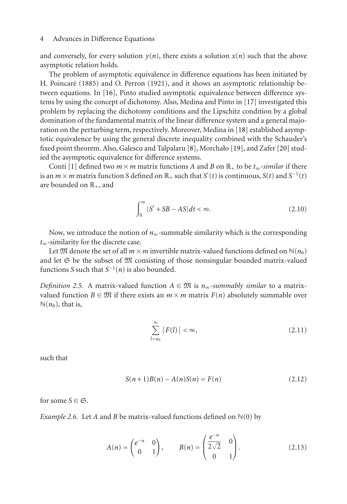and conversely, for every solution  $y(n)$ , there exists a solution  $x(n)$  such that the above asymptotic relation holds.

The problem of asymptotic equivalence in difference equations has been initiated by H. Poincaré (1885) and O. Perron (1921), and it shows an asymptotic relationship between equations. In [\[16](#page-20-0)], Pinto studied asymptotic equivalence between difference systems by using the concept of dichotomy. Also, Medina and Pinto in [\[17\]](#page-20-1) investigated this problem by replacing the dichotomy conditions and the Lipschitz condition by a global domination of the fundamental matrix of the linear difference system and a general majoration on the perturbing term, respectively. Moreover, Medina in [\[18](#page-20-2)] established asymptotic equivalence by using the general discrete inequality combined with the Schauder's fixed point theorem. Also, Galescu and Talpalaru [\[8\]](#page-19-15), Morchało [\[19](#page-20-3)], and Zafer [\[20\]](#page-20-4) studied the asymptotic equivalence for difference systems.

Conti [\[1](#page-19-1)] defined two  $m \times m$  matrix functions *A* and *B* on  $\mathbb{R}_+$  to be  $t_{\infty}$ -similar if there is an  $m \times m$  matrix function *S* defined on  $\mathbb{R}_+$  such that  $S'(t)$  is continuous,  $S(t)$  and  $S^{-1}(t)$ are bounded on  $\mathbb{R}_+$ , and

$$
\int_0^\infty |S' + SB - AS| dt < \infty. \tag{2.10}
$$

Now, we introduce the notion of  $n_{\infty}$ -summable similarity which is the corresponding *t*∞-similarity for the discrete case.

Let  $\mathfrak{M}$  denote the set of all  $m \times m$  invertible matrix-valued functions defined on  $\mathbb{N}(n_0)$ and let  $\mathfrak S$  be the subset of  $\mathfrak M$  consisting of those nonsingular bounded matrix-valued functions *S* such that  $S^{-1}(n)$  is also bounded.

*Definition 2.5.* A matrix-valued function  $A \in \mathfrak{M}$  is  $n_{\infty}$ -summably similar to a matrixvalued function  $B \in \mathfrak{M}$  if there exists an  $m \times m$  matrix  $F(n)$  absolutely summable over  $\mathbb{N}(n_0)$ , that is,

$$
\sum_{l=n_0}^{\infty} |F(l)| < \infty,\tag{2.11}
$$

such that

<span id="page-3-0"></span>
$$
S(n+1)B(n) - A(n)S(n) = F(n)
$$
\n(2.12)

for some  $S \in \mathfrak{S}$ .

*Example 2.6.* Let *A* and *B* be matrix-valued functions defined on  $\mathbb{N}(0)$  by

$$
A(n) = \begin{pmatrix} e^{-n} & 0 \\ 0 & 1 \end{pmatrix}, \qquad B(n) = \begin{pmatrix} \frac{e^{-n}}{2\sqrt{2}} & 0 \\ 0 & 1 \end{pmatrix}.
$$
 (2.13)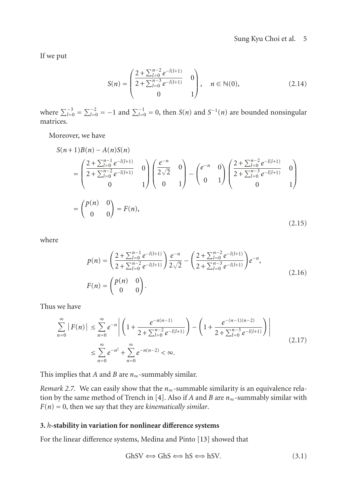If we put

$$
S(n) = \begin{pmatrix} \frac{2 + \sum_{l=0}^{n-2} e^{-l(l+1)}}{2 + \sum_{l=0}^{n-3} e^{-l(l+1)}} & 0\\ 0 & 1 \end{pmatrix}, \quad n \in \mathbb{N}(0),
$$
 (2.14)

where  $\sum_{l=0}^{-3} = \sum_{l=0}^{-2} = -1$  and  $\sum_{l=0}^{-1} = 0$ , then *S*(*n*) and *S*<sup>-1</sup>(*n*) are bounded nonsingular matrices.

Moreover, we have

$$
S(n+1)B(n) - A(n)S(n)
$$
  
=  $\begin{pmatrix} \frac{2+\sum_{l=0}^{n-1}e^{-l(l+1)}}{2+\sum_{l=0}^{n-2}e^{-l(l+1)}} & 0\\ 0 & 1 \end{pmatrix} \begin{pmatrix} \frac{e^{-n}}{2\sqrt{2}} & 0\\ 0 & 1 \end{pmatrix} - \begin{pmatrix} e^{-n} & 0\\ 0 & 1 \end{pmatrix} \begin{pmatrix} \frac{2+\sum_{l=0}^{n-2}e^{-l(l+1)}}{2+\sum_{l=0}^{n-3}e^{-l(l+1)}} & 0\\ 0 & 1 \end{pmatrix}$   
=  $\begin{pmatrix} p(n) & 0\\ 0 & 0 \end{pmatrix} = F(n),$  (2.15)

where

$$
p(n) = \left(\frac{2 + \sum_{l=0}^{n-1} e^{-l(l+1)}}{2 + \sum_{l=0}^{n-2} e^{-l(l+1)}}\right) \frac{e^{-n}}{2\sqrt{2}} - \left(\frac{2 + \sum_{l=0}^{n-2} e^{-l(l+1)}}{2 + \sum_{l=0}^{n-3} e^{-l(l+1)}}\right) e^{-n},
$$
  
(2.16)

Thus we have

$$
\sum_{n=0}^{\infty} |F(n)| \le \sum_{n=0}^{\infty} e^{-n} \left| \left( 1 + \frac{e^{-n(n-1)}}{2 + \sum_{l=0}^{n-2} e^{-l(l+1)}} \right) - \left( 1 + \frac{e^{-(n-1)(n-2)}}{2 + \sum_{l=0}^{n-3} e^{-l(l+1)}} \right) \right|
$$
\n
$$
\le \sum_{n=0}^{\infty} e^{-n^2} + \sum_{n=0}^{\infty} e^{-n(n-2)} < \infty.
$$
\n(2.17)

This implies that *A* and *B* are *n*∞-summably similar.

*Remark 2.7.* We can easily show that the  $n_{\infty}$ -summable similarity is an equivalence relation by the same method of Trench in [\[4\]](#page-19-4). Also if *A* and *B* are *n*∞-summably similar with *F*(*n*) = 0, then we say that they are *kinematically similar*.

## **3.** *h***-stability in variation for nonlinear difference systems**

For the linear difference systems, Medina and Pinto [\[13](#page-19-11)] showed that

$$
GhSV \Longleftrightarrow GhS \Longleftrightarrow hSV. \tag{3.1}
$$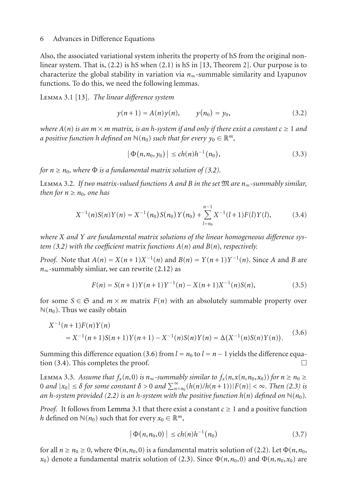Also, the associated variational system inherits the property of hS from the original nonlinear system. That is, [\(2.2\)](#page-1-1) is hS when [\(2.1\)](#page-1-0) is hS in [\[13,](#page-19-11) Theorem 2]. Our purpose is to characterize the global stability in variation via *n*∞-summable similarity and Lyapunov functions. To do this, we need the following lemmas.

<span id="page-5-3"></span>Lemma 3.1 [\[13\]](#page-19-11). *The linear difference system*

$$
y(n+1) = A(n)y(n)
$$
,  $y(n_0) = y_0$ , (3.2)

*where*  $A(n)$  *is an*  $m \times m$  *matrix, is an h-system if and only if there exist a constant*  $c \ge 1$  *and a positive function h defined on*  $\mathbb{N}(n_0)$  *such that for every*  $y_0 \in \mathbb{R}^m$ *,* 

<span id="page-5-2"></span><span id="page-5-0"></span>
$$
|\Phi(n, n_0, y_0)| \le ch(n)h^{-1}(n_0), \qquad (3.3)
$$

<span id="page-5-4"></span>*for*  $n \geq n_0$ *, where*  $\Phi$  *is a fundamental matrix solution of [\(3.2\)](#page-5-0).* 

Lemma 3.2. *If two matrix-valued functions A and B in the set* M *are n*∞*-summably similar, then for*  $n \geq n_0$ *, one has* 

$$
X^{-1}(n)S(n)Y(n) = X^{-1}(n_0)S(n_0)Y(n_0) + \sum_{l=n_0}^{n-1} X^{-1}(l+1)F(l)Y(l),
$$
 (3.4)

*where X and Y are fundamental matrix solutions of the linear homogeneous difference system [\(3.2\)](#page-5-0) with the coefficient matrix functions A*(*n*) *and B*(*n*)*, respectively.*

*Proof.* Note that  $A(n) = X(n+1)X^{-1}(n)$  and  $B(n) = Y(n+1)Y^{-1}(n)$ . Since *A* and *B* are  $n_{\infty}$ -summably simliar, we can rewrite [\(2.12\)](#page-3-0) as

$$
F(n) = S(n+1)Y(n+1)Y^{-1}(n) - X(n+1)X^{-1}(n)S(n),
$$
\n(3.5)

for some  $S \in \mathfrak{S}$  and  $m \times m$  matrix  $F(n)$  with an absolutely summable property over  $\mathbb{N}(n_0)$ . Thus we easily obtain

$$
X^{-1}(n+1)F(n)Y(n)
$$
  
=  $X^{-1}(n+1)S(n+1)Y(n+1) - X^{-1}(n)S(n)Y(n) = \Delta(X^{-1}(n)S(n)Y(n)).$  (3.6)

Summing this difference equation [\(3.6\)](#page-5-1) from *l* = *n*<sub>0</sub> to *l* = *n* − 1 yields the difference equation (3.4). This completes the proof.  $\Box$ tion [\(3.4\)](#page-5-2). This completes the proof. -

<span id="page-5-5"></span>LEMMA 3.3. Assume that  $f_x(n,0)$  is  $n_\infty$ -summably similar to  $f_x(n,x(n,n_0,x_0))$  for  $n \geq n_0 \geq$  $0$  *and*  $|x_0| \leq \delta$  for some constant  $\delta > 0$  *and*  $\sum_{n=n_0}^{\infty} (h(n)/h(n+1)) |F(n)| < \infty$ . Then [\(2.3\)](#page-1-2) is *an h*-system provided [\(2.2\)](#page-1-1) *is an h-system with the positive function*  $h(n)$  *defined on*  $\mathbb{N}(n_0)$ *.* 

*Proof.* It follows from [Lemma 3.1](#page-5-3) that there exist a constant  $c \geq 1$  and a positive function *h* defined on  $\mathbb{N}(n_0)$  such that for every  $x_0 \in \mathbb{R}^m$ ,

<span id="page-5-1"></span>
$$
|\Phi(n, n_0, 0)| \le ch(n)h^{-1}(n_0)
$$
\n(3.7)

for all  $n \ge n_0 \ge 0$ , where  $\Phi(n, n_0, 0)$  is a fundamental matrix solution of [\(2.2\)](#page-1-1). Let  $\Phi(n, n_0, 0)$ *x*<sub>0</sub>) denote a fundamental matrix solution of [\(2.3\)](#page-1-2). Since  $\Phi(n, n_0, 0)$  and  $\Phi(n, n_0, x_0)$  are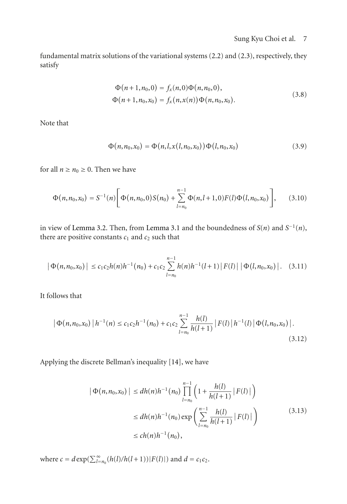fundamental matrix solutions of the variational systems [\(2.2\)](#page-1-1) and [\(2.3\)](#page-1-2), respectively, they satisfy

$$
\Phi(n+1, n_0, 0) = f_x(n, 0)\Phi(n, n_0, 0),
$$
  
\n
$$
\Phi(n+1, n_0, x_0) = f_x(n, x(n))\Phi(n, n_0, x_0).
$$
\n(3.8)

Note that

$$
\Phi(n, n_0, x_0) = \Phi(n, l, x(l, n_0, x_0)) \Phi(l, n_0, x_0)
$$
\n(3.9)

for all  $n \ge n_0 \ge 0$ . Then we have

$$
\Phi(n,n_0,x_0) = S^{-1}(n) \bigg[ \Phi(n,n_0,0) S(n_0) + \sum_{l=n_0}^{n-1} \Phi(n,l+1,0) F(l) \Phi(l,n_0,x_0) \bigg], \qquad (3.10)
$$

in view of [Lemma 3.2.](#page-5-4) Then, from [Lemma 3.1](#page-5-3) and the boundedness of  $S(n)$  and  $S^{-1}(n)$ , there are positive constants  $c_1$  and  $c_2$  such that

$$
|\Phi(n,n_0,x_0)| \leq c_1 c_2 h(n) h^{-1}(n_0) + c_1 c_2 \sum_{l=n_0}^{n-1} h(n) h^{-1}(l+1) |F(l)| |\Phi(l,n_0,x_0)|. \quad (3.11)
$$

It follows that

$$
\left| \Phi(n, n_0, x_0) \left| h^{-1}(n) \le c_1 c_2 h^{-1}(n_0) + c_1 c_2 \sum_{l=n_0}^{n-1} \frac{h(l)}{h(l+1)} \left| F(l) \left| h^{-1}(l) \right| \Phi(l, n_0, x_0) \right| \right| \tag{3.12}
$$

Applying the discrete Bellman's inequality [\[14\]](#page-19-12), we have

$$
|\Phi(n, n_0, x_0)| \le dh(n)h^{-1}(n_0) \prod_{l=n_0}^{n-1} \left(1 + \frac{h(l)}{h(l+1)} |F(l)|\right)
$$
  
\n
$$
\le dh(n)h^{-1}(n_0) \exp\left(\sum_{l=n_0}^{n-1} \frac{h(l)}{h(l+1)} |F(l)|\right)
$$
  
\n
$$
\le ch(n)h^{-1}(n_0), \qquad (3.13)
$$

where  $c = d \exp(\sum_{l=n_0}^{\infty} (h(l)/h(l+1)) |F(l)|)$  and  $d = c_1 c_2$ .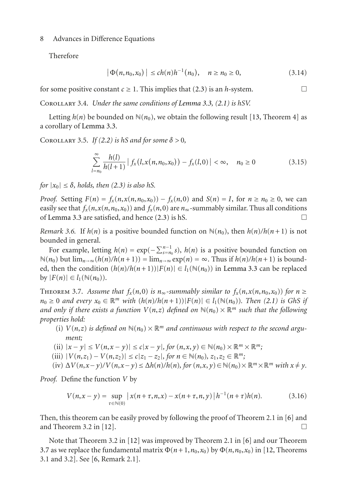Therefore

$$
|\Phi(n, n_0, x_0)| \le ch(n)h^{-1}(n_0), \quad n \ge n_0 \ge 0,
$$
\n(3.14)

for some positive constant  $c \ge 1$ . This implies that [\(2.3\)](#page-1-2) is an *h*-system.

Corollary 3.4. *Under the same conditions of [Lemma 3.3,](#page-5-5) [\(2.1\)](#page-1-0) is hSV.*

Letting  $h(n)$  be bounded on  $\mathbb{N}(n_0)$ , we obtain the following result [\[13,](#page-19-11) Theorem 4] as a corollary of [Lemma 3.3.](#page-5-5)

COROLLARY 3.5. *If* [\(2.2\)](#page-1-1) *is hS and for some*  $\delta > 0$ ,

$$
\sum_{l=n_0}^{\infty} \frac{h(l)}{h(l+1)} |f_x(l, x(n, n_0, x_0)) - f_x(l, 0)| < \infty, \quad n_0 \ge 0
$$
\n(3.15)

*for*  $|x_0| \leq \delta$ , *holds, then* [\(2.3\)](#page-1-2) *is also hS.* 

*Proof.* Setting  $F(n) = f_x(n, x(n, n_0, x_0)) - f_x(n, 0)$  and  $S(n) = I$ , for  $n \ge n_0 \ge 0$ , we can easily see that  $f_x(n, x(n, n_0, x_0))$  and  $f_x(n, 0)$  are  $n_{\infty}$ -summably similar. Thus all conditions of Lemma 3.3 are satisfied, and hence (2.3) is hS of [Lemma 3.3](#page-5-5) are satisfied, and hence  $(2.3)$  is hS.

*Remark 3.6.* If  $h(n)$  is a positive bounded function on  $\mathbb{N}(n_0)$ , then  $h(n)/h(n+1)$  is not bounded in general.

For example, letting  $h(n) = \exp(-\sum_{s=n_0}^{n-1} s)$ ,  $h(n)$  is a positive bounded function on  $N(n_0)$  but  $\lim_{n\to\infty}(h(n)/h(n+1)) = \lim_{n\to\infty} \exp(n) = \infty$ . Thus if  $h(n)/h(n+1)$  is bounded, then the condition  $(h(n)/h(n+1))|F(n)| \in l_1(\mathbb{N}(n_0))$  in [Lemma 3.3](#page-5-5) can be replaced  $\text{by } |F(n)| \in l_1(\mathbb{N}(n_0)).$ 

<span id="page-7-0"></span>THEOREM 3.7. Assume that  $f_x(n,0)$  is  $n_{\infty}$ -summably similar to  $f_x(n,x(n,n_0,x_0))$  for  $n \geq$  $n_0 \geq 0$  *and every*  $x_0 \in \mathbb{R}^m$  *with*  $(h(n)/h(n+1)) |F(n)| \in l_1(\mathbb{N}(n_0))$ *. Then* [\(2.1\)](#page-1-0) *is GhS if and only if there exists a function*  $V(n,z)$  *defined on*  $\mathbb{N}(n_0) \times \mathbb{R}^m$  *such that the following properties hold:*

- (i)  $V(n,z)$  *is defined on*  $\mathbb{N}(n_0) \times \mathbb{R}^m$  *and continuous with respect to the second argument;*
- (ii)  $|x y| \le V(n, x y)| \le c|x y|$ , for  $(n, x, y) \in \mathbb{N}(n_0) \times \mathbb{R}^m \times \mathbb{R}^m$ ;
- $\{|V(n, z_1) V(n, z_2)| \leq c |z_1 z_2|, \text{ for } n \in \mathbb{N}(n_0), z_1, z_2 \in \mathbb{R}^m; \}$
- (iv)  $\Delta V(n, x y)/V(n, x y) \leq \Delta h(n)/h(n)$ , for  $(n, x, y) \in N(n_0) \times \mathbb{R}^m \times \mathbb{R}^m$  with  $x \neq y$ .

*Proof.* Define the function *V* by

$$
V(n, x - y) = \sup_{\tau \in \mathbb{N}(0)} |x(n + \tau, n, x) - x(n + \tau, n, y)| h^{-1}(n + \tau)h(n).
$$
 (3.16)

Then, this theorem can be easily proved by following the proof of Theorem 2.1 in [\[6\]](#page-19-6) and and Theorem 3.2 in [\[12](#page-19-14)].  $\Box$ 

Note that Theorem 3.2 in [\[12](#page-19-14)] was improved by Theorem 2.1 in [\[6\]](#page-19-6) and our Theorem [3.7](#page-7-0) as we replace the fundamental matrix  $\Phi(n+1,n_0,x_0)$  by  $\Phi(n,n_0,x_0)$  in [\[12](#page-19-14), Theorems 3.1 and 3.2]. See [\[6,](#page-19-6) Remark 2.1].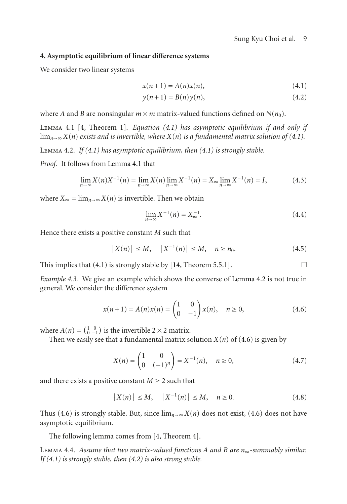## **4. Asymptotic equilibrium of linear difference systems**

We consider two linear systems

<span id="page-8-4"></span><span id="page-8-0"></span>
$$
x(n+1) = A(n)x(n),
$$
 (4.1)

$$
y(n+1) = B(n)y(n),
$$
\n(4.2)

<span id="page-8-1"></span>where *A* and *B* are nonsingular  $m \times m$  matrix-valued functions defined on  $\mathbb{N}(n_0)$ .

Lemma 4.1 [\[4](#page-19-4), Theorem 1]. *Equation [\(4.1\)](#page-8-0) has asymptotic equilibrium if and only if* lim<sub>n→∞</sub> *X*(*n*) *exists and is invertible, where X*(*n*) *is a fundamental matrix solution of* [\(4.1\)](#page-8-0)*.* 

<span id="page-8-2"></span>Lemma 4.2. *If [\(4.1\)](#page-8-0) has asymptotic equilibrium, then [\(4.1\)](#page-8-0) is strongly stable.*

*Proof.* It follows from [Lemma 4.1](#page-8-1) that

$$
\lim_{n \to \infty} X(n)X^{-1}(n) = \lim_{n \to \infty} X(n) \lim_{n \to \infty} X^{-1}(n) = X_{\infty} \lim_{n \to \infty} X^{-1}(n) = I,
$$
\n(4.3)

where  $X_{\infty} = \lim_{n \to \infty} X(n)$  is invertible. Then we obtain

<span id="page-8-3"></span>
$$
\lim_{n \to \infty} X^{-1}(n) = X_{\infty}^{-1}.
$$
\n(4.4)

Hence there exists a positive constant *M* such that

$$
|X(n)| \le M, \quad |X^{-1}(n)| \le M, \quad n \ge n_0. \tag{4.5}
$$

This implies that  $(4.1)$  is strongly stable by [\[14,](#page-19-12) Theorem 5.5.1].

*Example 4.3.* We give an example which shows the converse of [Lemma 4.2](#page-8-2) is not true in general. We consider the difference system

$$
x(n+1) = A(n)x(n) = \begin{pmatrix} 1 & 0 \\ 0 & -1 \end{pmatrix} x(n), \quad n \ge 0,
$$
 (4.6)

where  $A(n) = \begin{pmatrix} 1 & 0 \\ 0 & -1 \end{pmatrix}$  is the invertible 2 × 2 matrix.

Then we easily see that a fundamental matrix solution  $X(n)$  of [\(4.6\)](#page-8-3) is given by

$$
X(n) = \begin{pmatrix} 1 & 0 \\ 0 & (-1)^n \end{pmatrix} = X^{-1}(n), \quad n \ge 0,
$$
 (4.7)

and there exists a positive constant  $M \geq 2$  such that

$$
|X(n)| \le M, \quad |X^{-1}(n)| \le M, \quad n \ge 0. \tag{4.8}
$$

Thus [\(4.6\)](#page-8-3) is strongly stable. But, since  $\lim_{n\to\infty} X(n)$  does not exist, (4.6) does not have asymptotic equilibrium.

<span id="page-8-5"></span>The following lemma comes from [\[4](#page-19-4), Theorem 4].

Lemma 4.4. *Assume that two matrix-valued functions A and B are n*∞*-summably similar. If [\(4.1\)](#page-8-0) is strongly stable, then [\(4.2\)](#page-8-4) is also strong stable.*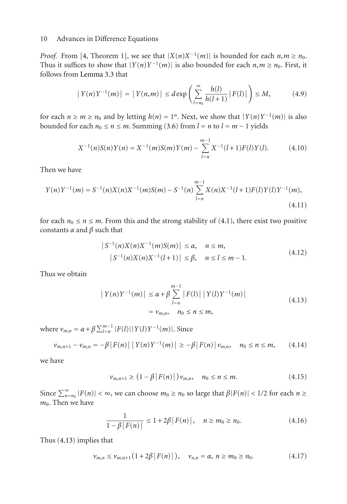*Proof.* From [\[4,](#page-19-4) Theorem 1], we see that  $|X(n)X^{-1}(m)|$  is bounded for each  $n, m \ge n_0$ . Thus it suffices to show that  $|Y(n)Y^{-1}(m)|$  is also bounded for each  $n, m \ge n_0$ . First, it follows from [Lemma 3.3](#page-5-5) that

$$
|Y(n)Y^{-1}(m)| = |Y(n,m)| \le d \exp \left( \sum_{l=n_0}^{\infty} \frac{h(l)}{h(l+1)} |F(l)| \right) \le M,
$$
 (4.9)

for each  $n \ge m \ge n_0$  and by letting  $h(n) = 1^n$ . Next, we show that  $|Y(n)Y^{-1}(m)|$  is also bounded for each  $n_0 \le n \le m$ . Summing [\(3.6\)](#page-5-1) from  $l = n$  to  $l = m - 1$  yields

$$
X^{-1}(n)S(n)Y(n) = X^{-1}(m)S(m)Y(m) - \sum_{l=n}^{m-1} X^{-1}(l+1)F(l)Y(l).
$$
 (4.10)

Then we have

$$
Y(n)Y^{-1}(m) = S^{-1}(n)X(n)X^{-1}(m)S(m) - S^{-1}(n)\sum_{l=n}^{m-1}X(n)X^{-1}(l+1)F(l)Y(l)Y^{-1}(m),
$$
\n(4.11)

for each  $n_0 \le n \le m$ . From this and the strong stability of [\(4.1\)](#page-8-0), there exist two positive constants *α* and *β* such that

$$
|S^{-1}(n)X(n)X^{-1}(m)S(m)| \le \alpha, \quad n \le m,
$$
  

$$
|S^{-1}(n)X(n)X^{-1}(l+1)| \le \beta, \quad n \le l \le m-1.
$$
 (4.12)

Thus we obtain

<span id="page-9-0"></span>
$$
|Y(n)Y^{-1}(m)| \le \alpha + \beta \sum_{l=n}^{m-1} |F(l)| |Y(l)Y^{-1}(m)|
$$
  
=  $\nu_{m,n}$ ,  $n_0 \le n \le m$ , (4.13)

 $v_{m,n} = \alpha + \beta \sum_{l=n}^{m-1} |F(l)| |Y(l)Y^{-1}(m)|$ . Since

$$
\nu_{m,n+1} - \nu_{m,n} = -\beta |F(n)| |Y(n)Y^{-1}(m)| \geq -\beta |F(n)| \nu_{m,n}, \quad n_0 \leq n \leq m,
$$
 (4.14)

we have

$$
\nu_{m,n+1} \ge (1 - \beta |F(n)|) \nu_{m,n}, \quad n_0 \le n \le m. \tag{4.15}
$$

Since  $\sum_{n=n_0}^{\infty} |F(n)| < \infty$ , we can choose  $m_0 \ge n_0$  so large that  $\beta |F(n)| < 1/2$  for each  $n \ge$  $m<sub>0</sub>$ . Then we have

$$
\frac{1}{1 - \beta |F(n)|} \le 1 + 2\beta |F(n)|, \quad n \ge m_0 \ge n_0.
$$
 (4.16)

Thus [\(4.13\)](#page-9-0) implies that

$$
\nu_{m,n} \leq \nu_{m,n+1} \left( 1 + 2\beta \, |F(n)| \, \right), \quad \nu_{n,n} = \alpha, \ n \geq m_0 \geq n_0. \tag{4.17}
$$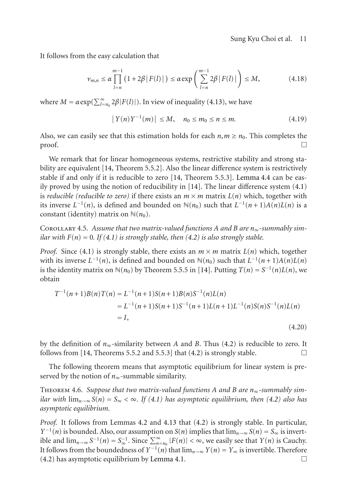It follows from the easy calculation that

$$
\nu_{m,n} \leq \alpha \prod_{l=n}^{m-1} \left( 1 + 2\beta \left| F(l) \right| \right) \leq \alpha \exp \left( \sum_{l=n}^{m-1} 2\beta \left| F(l) \right| \right) \leq M, \tag{4.18}
$$

where  $M = \alpha \exp(\sum_{l=n_0}^{\infty} 2\beta |F(l)|)$ . In view of inequality [\(4.13\)](#page-9-0), we have

$$
|Y(n)Y^{-1}(m)| \le M, \quad n_0 \le m_0 \le n \le m. \tag{4.19}
$$

Also, we can easily see that this estimation holds for each  $n, m \ge n_0$ . This completes the proof. proof.  $\Box$ 

We remark that for linear homogeneous systems, restrictive stability and strong stability are equivalent [\[14,](#page-19-12) Theorem 5.5.2]. Also the linear difference system is restrictively stable if and only if it is reducible to zero [\[14,](#page-19-12) Theorem 5.5.3]. [Lemma 4.4](#page-8-5) can be easily proved by using the notion of reducibility in  $[14]$ . The linear difference system  $(4.1)$ is *reducible (reducible to zero)* if there exists an  $m \times m$  matrix  $L(n)$  which, together with its inverse  $L^{-1}(n)$ , is defined and bounded on  $\mathbb{N}(n_0)$  such that  $L^{-1}(n+1)A(n)L(n)$  is a constant (identity) matrix on  $\mathbb{N}(n_0)$ .

Corollary 4.5. *Assume that two matrix-valued functions A and B are n*∞*-summably similar with*  $F(n) = 0$ . If [\(4.1\)](#page-8-0) *is strongly stable, then* [\(4.2\)](#page-8-4) *is also strongly stable.* 

*Proof.* Since [\(4.1\)](#page-8-0) is strongly stable, there exists an  $m \times m$  matrix  $L(n)$  which, together with its inverse  $L^{-1}(n)$ , is defined and bounded on  $\mathbb{N}(n_0)$  such that  $L^{-1}(n+1)A(n)L(n)$ is the identity matrix on  $\mathbb{N}(n_0)$  by Theorem 5.5.5 in [\[14](#page-19-12)]. Putting  $T(n) = S^{-1}(n)L(n)$ , we obtain

$$
T^{-1}(n+1)B(n)T(n) = L^{-1}(n+1)S(n+1)B(n)S^{-1}(n)L(n)
$$
  
= L<sup>-1</sup>(n+1)S(n+1)S<sup>-1</sup>(n+1)L(n+1)L<sup>-1</sup>(n)S(n)S<sup>-1</sup>(n)L(n)  
= I, (4.20)

by the definition of  $n_{\infty}$ -similarity between *A* and *B*. Thus [\(4.2\)](#page-8-4) is reducible to zero. It follows from [14. Theorems 5.5.2 and 5.5.3] that (4.2) is strongly stable follows from  $[14,$  Theorems 5.5.2 and 5.5.3] that  $(4.2)$  is strongly stable.

<span id="page-10-0"></span>The following theorem means that asymptotic equilibrium for linear system is preserved by the notion of *n*∞-summable similarity.

Theorem 4.6. *Suppose that two matrix-valued functions A and B are n*∞*-summably similar with*  $\lim_{n\to\infty} S(n) = S_\infty < \infty$ . If [\(4.1\)](#page-8-0) has asymptotic equilibrium, then [\(4.2\)](#page-8-4) also has *asymptotic equilibrium.*

*Proof.* It follows from Lemmas [4.2](#page-8-2) and [4.13](#page-9-0) that [\(4.2\)](#page-8-4) is strongly stable. In particular, *Y*<sup> $-1$ </sup>(*n*) is bounded. Also, our assumption on *S*(*n*) implies that  $\lim_{n\to\infty} S(n) = S_\infty$  is invertible and  $\lim_{n\to\infty} S^{-1}(n) = S_{\infty}^{-1}$ . Since  $\sum_{n=n_0}^{\infty} |F(n)| < \infty$ , we easily see that *Y*(*n*) is Cauchy. It follows from the boundedness of  $Y^{-1}(n)$  that  $\lim_{n\to\infty} Y(n) = Y_{\infty}$  is invertible. Therefore  $(4.2)$  has asymptotic equilibrium by [Lemma 4.1.](#page-8-1)  $\Box$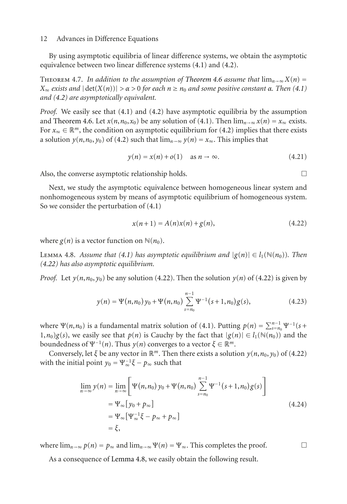<span id="page-11-3"></span>By using asymptotic equilibria of linear difference systems, we obtain the asymptotic equivalence between two linear difference systems [\(4.1\)](#page-8-0) and [\(4.2\)](#page-8-4).

THEOREM 4.7. In addition to the assumption of [Theorem 4.6](#page-10-0) assume that  $\lim_{n\to\infty} X(n) =$ *X*<sup>∞</sup> *exists and*  $|det(X(n))| > α > 0$  *for each*  $n ≥ n<sub>0</sub>$  *and some positive constant*  $α$ *. Then* [\(4.1\)](#page-8-0) *and [\(4.2\)](#page-8-4) are asymptotically equivalent.*

*Proof.* We easily see that [\(4.1\)](#page-8-0) and [\(4.2\)](#page-8-4) have asymptotic equilibria by the assumption and [Theorem 4.6.](#page-10-0) Let  $x(n, n_0, x_0)$  be any solution of [\(4.1\)](#page-8-0). Then  $\lim_{n\to\infty} x(n) = x_\infty$  exists. For  $x_{\infty} \in \mathbb{R}^m$ , the condition on asymptotic equilibrium for [\(4.2\)](#page-8-4) implies that there exists a solution  $y(n, n_0, y_0)$  of [\(4.2\)](#page-8-4) such that  $\lim_{n\to\infty} y(n) = x_\infty$ . This implies that

$$
y(n) = x(n) + o(1) \quad \text{as } n \to \infty. \tag{4.21}
$$

Also, the converse asymptotic relationship holds.  $\Box$ 

Next, we study the asymptotic equivalence between homogeneous linear system and nonhomogeneous system by means of asymptotic equilibrium of homogeneous system. So we consider the perturbation of [\(4.1\)](#page-8-0)

<span id="page-11-0"></span>
$$
x(n+1) = A(n)x(n) + g(n),
$$
\n(4.22)

<span id="page-11-1"></span>where  $g(n)$  is a vector function on  $\mathbb{N}(n_0)$ .

LEMMA 4.8. *Assume that* [\(4.1\)](#page-8-0) has asymptotic equilibrium and  $|g(n)| \in l_1(\mathbb{N}(n_0))$ . Then *[\(4.22\)](#page-11-0) has also asymptotic equilibrium.*

*Proof.* Let  $y(n, n_0, y_0)$  be any solution [\(4.22\)](#page-11-0). Then the solution  $y(n)$  of (4.22) is given by

$$
y(n) = \Psi(n, n_0) y_0 + \Psi(n, n_0) \sum_{s=n_0}^{n-1} \Psi^{-1}(s+1, n_0) g(s), \qquad (4.23)
$$

where  $\Psi(n, n_0)$  is a fundamental matrix solution of [\(4.1\)](#page-8-0). Putting  $p(n) = \sum_{s=n_0}^{n-1} \Psi^{-1}(s+n_0)$  $(1, n_0)g(s)$ , we easily see that  $p(n)$  is Cauchy by the fact that  $|g(n)| \in l_1(\mathbb{N}(n_0))$  and the boundedness of Ψ<sup>-1</sup>(*n*). Thus *y*(*n*) converges to a vector *ξ* ∈ ℝ<sup>*m*</sup>.

Conversely, let  $\xi$  be any vector in  $\mathbb{R}^m$ . Then there exists a solution  $y(n, n_0, y_0)$  of [\(4.22\)](#page-11-0) with the initial point  $y_0 = \Psi_\infty^{-1} \xi - p_\infty$  such that

$$
\lim_{n \to \infty} y(n) = \lim_{n \to \infty} \left[ \Psi(n, n_0) y_0 + \Psi(n, n_0) \sum_{s=n_0}^{n-1} \Psi^{-1}(s+1, n_0) g(s) \right]
$$
  
=  $\Psi_{\infty} [y_0 + p_{\infty}]$   
=  $\Psi_{\infty} [\Psi_{\infty}^{-1} \xi - p_{\infty} + p_{\infty}]$   
=  $\xi$ , (4.24)

where  $\lim_{n\to\infty} p(n) = p_\infty$  and  $\lim_{n\to\infty} \Psi(n) = \Psi_\infty$ . This completes the proof.

<span id="page-11-2"></span>As a consequence of [Lemma 4.8,](#page-11-1) we easily obtain the following result.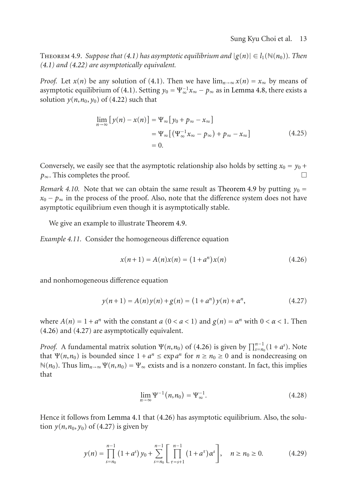THEOREM 4.9. *Suppose that* [\(4.1\)](#page-8-0) *has asymptotic equilibrium and*  $|g(n)| \in l_1(\mathbb{N}(n_0))$ *. Then [\(4.1\)](#page-8-0) and [\(4.22\)](#page-11-0) are asymptotically equivalent.*

*Proof.* Let  $x(n)$  be any solution of [\(4.1\)](#page-8-0). Then we have  $\lim_{n\to\infty} x(n) = x_{\infty}$  by means of asymptotic equilibrium of [\(4.1\)](#page-8-0). Setting  $y_0 = \Psi_{\infty}^{-1} x_{\infty} - p_{\infty}$  as in [Lemma 4.8,](#page-11-1) there exists a solution  $y(n, n_0, y_0)$  of [\(4.22\)](#page-11-0) such that

$$
\lim_{n \to \infty} [y(n) - x(n)] = \Psi_{\infty} [y_0 + p_{\infty} - x_{\infty}]
$$
  
=  $\Psi_{\infty} [(\Psi_{\infty}^{-1} x_{\infty} - p_{\infty}) + p_{\infty} - x_{\infty}]$   
= 0. (4.25)

Conversely, we easily see that the asymptotic relationship also holds by setting  $x_0 = y_0 +$ <br> $h_{\infty}$ . This completes the proof. *p*∞. This completes the proof.

*Remark 4.10.* Note that we can obtain the same result as [Theorem 4.9](#page-11-2) by putting  $y_0 =$  $x_0 - p_\infty$  in the process of the proof. Also, note that the difference system does not have asymptotic equilibrium even though it is asymptotically stable.

We give an example to illustrate [Theorem 4.9.](#page-11-2)

*Example 4.11.* Consider the homogeneous difference equation

<span id="page-12-0"></span>
$$
x(n+1) = A(n)x(n) = (1 + an)x(n)
$$
\n(4.26)

and nonhomogeneous difference equation

<span id="page-12-1"></span>
$$
y(n+1) = A(n)y(n) + g(n) = (1 + a^n)y(n) + \alpha^n,
$$
\n(4.27)

where  $A(n) = 1 + a^n$  with the constant  $a(0 < a < 1)$  and  $g(n) = a^n$  with  $0 < \alpha < 1$ . Then [\(4.26\)](#page-12-0) and [\(4.27\)](#page-12-1) are asymptotically equivalent.

*Proof.* A fundamental matrix solution  $\Psi(n, n_0)$  of [\(4.26\)](#page-12-0) is given by  $\prod_{s=n_0}^{n-1} (1 + a^s)$ . Note that  $\Psi(n, n_0)$  is bounded since  $1 + a^n \leq \exp a^n$  for  $n \geq n_0 \geq 0$  and is nondecreasing on  $\mathbb{N}(n_0)$ . Thus  $\lim_{n\to\infty} \Psi(n,n_0) = \Psi_\infty$  exists and is a nonzero constant. In fact, this implies that

$$
\lim_{n \to \infty} \Psi^{-1}(n, n_0) = \Psi_{\infty}^{-1}.
$$
\n(4.28)

Hence it follows from [Lemma 4.1](#page-8-1) that [\(4.26\)](#page-12-0) has asymptotic equilibrium. Also, the solution  $y(n, n_0, y_0)$  of [\(4.27\)](#page-12-1) is given by

$$
y(n) = \prod_{s=n_0}^{n-1} (1+a^s) y_0 + \sum_{s=n_0}^{n-1} \left[ \prod_{\tau=s+1}^{n-1} (1+a^{\tau}) \alpha^s \right], \quad n \ge n_0 \ge 0. \tag{4.29}
$$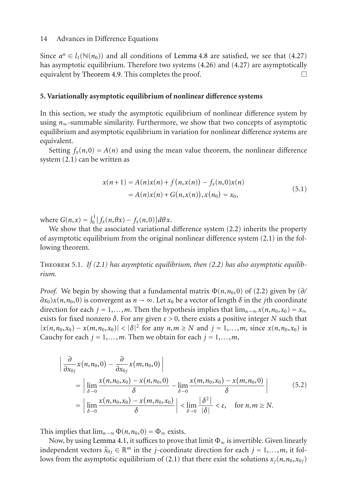Since  $\alpha^n \in l_1(\mathbb{N}(n_0))$  and all conditions of [Lemma 4.8](#page-11-1) are satisfied, we see that [\(4.27\)](#page-12-1) has asymptotic equilibrium. Therefore two systems [\(4.26\)](#page-12-0) and [\(4.27\)](#page-12-1) are asymptotically equivalent by [Theorem 4.9.](#page-11-2) This completes the proof.  $\Box$ 

#### **5. Variationally asymptotic equilibrium of nonlinear difference systems**

In this section, we study the asymptotic equilibrium of nonlinear difference system by using *n*∞-summable similarity. Furthermore, we show that two concepts of asymptotic equilibrium and asymptotic equilibrium in variation for nonlinear difference systems are equivalent.

Setting  $f_x(n,0) = A(n)$  and using the mean value theorem, the nonlinear difference system [\(2.1\)](#page-1-0) can be written as

<span id="page-13-1"></span>
$$
x(n+1) = A(n)x(n) + f(n, x(n)) - f_x(n, 0)x(n)
$$
  
=  $A(n)x(n) + G(n, x(n)), x(n_0) = x_0,$  (5.1)

where  $G(n, x) = \int_0^1 [f_x(n, \theta x) - f_x(n, 0)] d\theta x$ .

We show that the associated variational difference system [\(2.2\)](#page-1-1) inherits the property of asymptotic equilibrium from the original nonlinear difference system [\(2.1\)](#page-1-0) in the following theorem.

<span id="page-13-0"></span>Theorem 5.1. *If [\(2.1\)](#page-1-0) has asymptotic equilibrium, then [\(2.2\)](#page-1-1) has also asymptotic equilibrium.*

*Proof.* We begin by showing that a fundamental matrix  $\Phi(n, n_0, 0)$  of [\(2.2\)](#page-1-1) given by ( $\partial$ /  $\partial x_0$ )*x*(*n*,*n*<sub>0</sub>,0) is convergent as *n* → ∞. Let *x*<sub>0</sub> be a vector of length  $\delta$  in the *j*th coordinate direction for each  $j = 1,...,m$ . Then the hypothesis implies that  $\lim_{n\to\infty} x(n,n_0,x_0) = x_\infty$ exists for fixed nonzero *δ*. For any given *ε >* 0, there exists a positive integer *N* such that  $|x(n, n_0, x_0) - x(m, n_0, x_0)| < |\delta|^2$  for any  $n, m \ge N$  and  $j = 1,..., m$ , since  $x(n, n_0, x_0)$  is Cauchy for each  $j = 1, \ldots, m$ . Then we obtain for each  $j = 1, \ldots, m$ ,

$$
\begin{aligned}\n&\left|\frac{\partial}{\partial x_{0j}}x(n,n_{0},0)-\frac{\partial}{\partial x_{0j}}x(m,n_{0},0)\right| \\
&= \left|\lim_{\delta \to 0} \frac{x(n,n_{0},x_{0})-x(n,n_{0},0)}{\delta}-\lim_{\delta \to 0} \frac{x(m,n_{0},x_{0})-x(m,n_{0},0)}{\delta}\right| \\
&= \left|\lim_{\delta \to 0} \frac{x(n,n_{0},x_{0})-x(m,n_{0},x_{0})}{\delta}\right| < \lim_{\delta \to 0} \frac{|\delta^{2}|}{|\delta|} < \varepsilon, \quad \text{for } n,m \geq N.\n\end{aligned} \tag{5.2}
$$

This implies that  $\lim_{n\to\infty} \Phi(n, n_0, 0) = \Phi_\infty$  exists.

Now, by using [Lemma 4.1,](#page-8-1) it suffices to prove that limit  $\Phi_{\infty}$  is invertible. Given linearly independent vectors  $\hat{x}_{0j} \in \mathbb{R}^m$  in the *j*-coordinate direction for each  $j = 1, \ldots, m$ , it fol-lows from the asymptotic equilibrium of [\(2.1\)](#page-1-0) that there exist the solutions  $x_j(n, n_0, x_0)$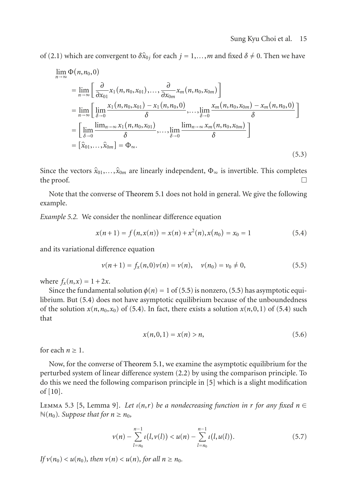of [\(2.1\)](#page-1-0) which are convergent to  $\delta \hat{x}_{0i}$  for each  $j = 1, \ldots, m$  and fixed  $\delta \neq 0$ . Then we have

$$
\lim_{n \to \infty} \Phi(n, n_0, 0)
$$
\n
$$
= \lim_{n \to \infty} \left[ \frac{\partial}{\partial x_{01}} x_1(n, n_0, x_{01}), \dots, \frac{\partial}{\partial x_{0m}} x_m(n, n_0, x_{0m}) \right]
$$
\n
$$
= \lim_{n \to \infty} \left[ \lim_{\delta \to 0} \frac{x_1(n, n_0, x_{01}) - x_1(n, n_0, 0)}{\delta}, \dots, \lim_{\delta \to 0} \frac{x_m(n, n_0, x_{0m}) - x_m(n, n_0, 0)}{\delta} \right]
$$
\n
$$
= \left[ \lim_{\delta \to 0} \frac{\lim_{n \to \infty} x_1(n, n_0, x_{01})}{\delta}, \dots, \lim_{\delta \to 0} \frac{\lim_{n \to \infty} x_m(n, n_0, x_{0m})}{\delta} \right]
$$
\n
$$
= \left[ \hat{x}_{01}, \dots, \hat{x}_{0m} \right] = \Phi_{\infty}.
$$
\n(5.3)

Since the vectors  $\hat{x}_{01},...,\hat{x}_{0m}$  are linearly independent,  $\Phi_{\infty}$  is invertible. This completes the proof. the proof.  $\Box$ 

Note that the converse of [Theorem 5.1](#page-13-0) does not hold in general. We give the following example.

*Example 5.2.* We consider the nonlinear difference equation

$$
x(n+1) = f(n, x(n)) = x(n) + x2(n), x(n0) = x0 = 1
$$
 (5.4)

and its variational difference equation

$$
\nu(n+1) = f_x(n,0)\nu(n) = \nu(n), \quad \nu(n_0) = \nu_0 \neq 0,
$$
\n(5.5)

where  $f_x(n, x) = 1 + 2x$ .

Since the fundamental solution  $\phi(n) = 1$  of [\(5.5\)](#page-14-0) is nonzero, (5.5) has asymptotic equilibrium. But [\(5.4\)](#page-14-1) does not have asymptotic equilibrium because of the unboundedness of the solution  $x(n, n_0, x_0)$  of [\(5.4\)](#page-14-1). In fact, there exists a solution  $x(n, 0, 1)$  of (5.4) such that

<span id="page-14-1"></span><span id="page-14-0"></span>
$$
x(n,0,1) = x(n) > n,
$$
\n(5.6)

for each  $n \geq 1$ .

Now, for the converse of [Theorem 5.1,](#page-13-0) we examine the asymptotic equilibrium for the perturbed system of linear difference system [\(2.2\)](#page-1-1) by using the comparison principle. To do this we need the following comparison principle in [\[5\]](#page-19-5) which is a slight modification of [\[10](#page-19-9)].

<span id="page-14-2"></span>LEMMA 5.3 [\[5,](#page-19-5) Lemma 9]. Let  $\iota(n,r)$  be a nondecreasing function in r for any fixed  $n \in$  $\mathbb{N}(n_0)$ *. Suppose that for*  $n \geq n_0$ *,* 

$$
\nu(n) - \sum_{l=n_0}^{n-1} \iota(l, \nu(l)) < u(n) - \sum_{l=n_0}^{n-1} \iota(l, u(l)). \tag{5.7}
$$

*If*  $v(n_0) < u(n_0)$ *, then*  $v(n) < u(n)$ *, for all*  $n \ge n_0$ *.*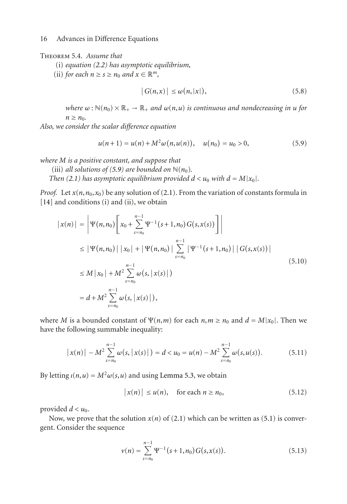#### <span id="page-15-1"></span>Theorem 5.4. *Assume that*

- (i) *equation [\(2.2\)](#page-1-1) has asymptotic equilibrium,*
- (ii) *for each*  $n \ge s \ge n_0$  *and*  $x \in \mathbb{R}^m$ *,*

<span id="page-15-0"></span>
$$
|G(n,x)| \le \omega(n,|x|), \tag{5.8}
$$

*where*  $\omega$ :  $\mathbb{N}(n_0) \times \mathbb{R}_+$   $\rightarrow$   $\mathbb{R}_+$  *and*  $\omega(n, u)$  *is continuous and nondecreasing in u for*  $n \geq n_0$ .

*Also, we consider the scalar difference equation*

$$
u(n+1) = u(n) + M^2 \omega(n, u(n)), \quad u(n_0) = u_0 > 0,
$$
\n(5.9)

*where M is a positive constant, and suppose that*

(iii) *all solutions of [\(5.9\)](#page-15-0)* are bounded on  $\mathbb{N}(n_0)$ *.* 

*Then* [\(2.1\)](#page-1-0) has asymptotic equilibrium provided  $d < u_0$  with  $d = M|x_0|$ .

*Proof.* Let  $x(n, n_0, x_0)$  be any solution of [\(2.1\)](#page-1-0). From the variation of constants formula in [\[14\]](#page-19-12) and conditions (i) and (ii), we obtain

$$
|x(n)| = |\Psi(n, n_0) \left[ x_0 + \sum_{s=n_0}^{n-1} \Psi^{-1}(s+1, n_0) G(s, x(s)) \right] |
$$
  
\n
$$
\leq |\Psi(n, n_0)| |x_0| + |\Psi(n, n_0)| \sum_{s=n_0}^{n-1} |\Psi^{-1}(s+1, n_0)| |G(s, x(s))|
$$
  
\n
$$
\leq M |x_0| + M^2 \sum_{s=n_0}^{n-1} \omega(s, |x(s)|)
$$
  
\n
$$
= d + M^2 \sum_{s=n_0}^{n-1} \omega(s, |x(s)|),
$$
\n(5.10)

where *M* is a bounded constant of  $\Psi(n,m)$  for each  $n,m \ge n_0$  and  $d = M|x_0|$ . Then we have the following summable inequality:

$$
|x(n)| - M^2 \sum_{s=n_0}^{n-1} \omega(s, |x(s)|) = d < u_0 = u(n) - M^2 \sum_{s=n_0}^{n-1} \omega(s, u(s)).
$$
 (5.11)

By letting  $\iota(n, u) = M^2 \omega(s, u)$  and using [Lemma 5.3,](#page-14-2) we obtain

$$
|x(n)| \le u(n), \quad \text{for each } n \ge n_0,
$$
 (5.12)

provided  $d < u_0$ .

Now, we prove that the solution  $x(n)$  of [\(2.1\)](#page-1-0) which can be written as [\(5.1\)](#page-13-1) is convergent. Consider the sequence

$$
\nu(n) = \sum_{s=n_0}^{n-1} \Psi^{-1}(s+1, n_0) G(s, x(s)).
$$
\n(5.13)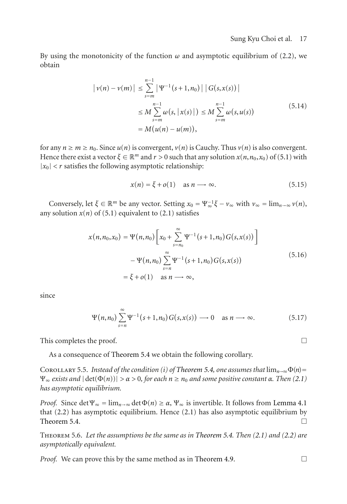By using the monotonicity of the function  $\omega$  and asymptotic equilibrium of [\(2.2\)](#page-1-1), we obtain

$$
|v(n) - v(m)| \leq \sum_{s=m}^{n-1} |\Psi^{-1}(s+1, n_0)| |G(s, x(s))|
$$
  

$$
\leq M \sum_{s=m}^{n-1} \omega(s, |x(s)|) \leq M \sum_{s=m}^{n-1} \omega(s, u(s))
$$
  

$$
= M (u(n) - u(m)), \qquad (5.14)
$$

for any  $n \ge m \ge n_0$ . Since  $u(n)$  is convergent,  $v(n)$  is Cauchy. Thus  $v(n)$  is also convergent. Hence there exist a vector  $\xi \in \mathbb{R}^m$  and  $r > 0$  such that any solution  $x(n, n_0, x_0)$  of [\(5.1\)](#page-13-1) with  $|x_0|$  < *r* satisfies the following asymptotic relationship:

$$
x(n) = \xi + o(1) \quad \text{as } n \longrightarrow \infty. \tag{5.15}
$$

Conversely, let  $\xi \in \mathbb{R}^m$  be any vector. Setting  $x_0 = \Psi_\infty^{-1} \xi - \nu_\infty$  with  $\nu_\infty = \lim_{n \to \infty} \nu(n)$ , any solution  $x(n)$  of [\(5.1\)](#page-13-1) equivalent to [\(2.1\)](#page-1-0) satisfies

$$
x(n, n_0, x_0) = \Psi(n, n_0) \left[ x_0 + \sum_{s=n_0}^{\infty} \Psi^{-1} (s+1, n_0) G(s, x(s)) \right]
$$
  
-  $\Psi(n, n_0) \sum_{s=n}^{\infty} \Psi^{-1} (s+1, n_0) G(s, x(s))$   
=  $\xi + o(1)$  as  $n \longrightarrow \infty$ , (5.16)

since

$$
\Psi(n,n_0) \sum_{s=n}^{\infty} \Psi^{-1}(s+1,n_0) G(s,x(s)) \longrightarrow 0 \quad \text{as } n \longrightarrow \infty.
$$
 (5.17)

This completes the proof.  $\Box$ 

As a consequence of [Theorem 5.4](#page-15-1) we obtain the following corollary.

COROLLARY 5.5. *Instead of the condition (i) of [Theorem 5.4,](#page-15-1) one assumes that*  $\lim_{n\to\infty}\Phi(n)$  =  $\Psi_{\infty}$  *exists and*  $|\det(\Phi(n))| > \alpha > 0$ , for each  $n \ge n_0$  *and some positive constant*  $\alpha$ *. Then* [\(2.1\)](#page-1-0) *has asymptotic equilibrium.*

*Proof.* Since det  $\Psi_{\infty} = \lim_{n \to \infty} \det \Phi(n) \ge \alpha$ ,  $\Psi_{\infty}$  is invertible. It follows from [Lemma 4.1](#page-8-1) that [\(2.2\)](#page-1-1) has asymptotic equilibrium. Hence [\(2.1\)](#page-1-0) has also asymptotic equilibrium by [Theorem 5.4.](#page-15-1)  $\Box$ 

<span id="page-16-0"></span>Theorem 5.6. *Let the assumptions be the same as in [Theorem 5.4.](#page-15-1) Then [\(2.1\)](#page-1-0) and [\(2.2\)](#page-1-1) are asymptotically equivalent.*

*Proof.* We can prove this by the same method as in [Theorem 4.9.](#page-11-2)  $\Box$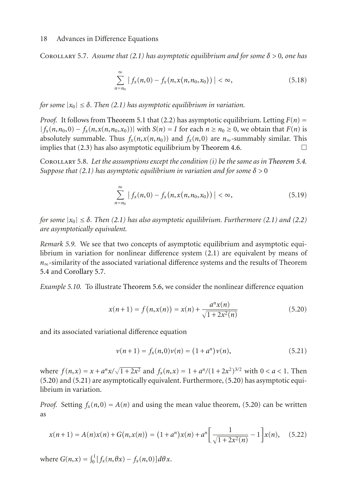<span id="page-17-0"></span>COROLLARY 5.7. *Assume that [\(2.1\)](#page-1-0)* has asymptotic equilibrium and for some  $\delta > 0$ , one has

$$
\sum_{n=n_0}^{\infty} |f_x(n,0) - f_x(n,x(n,n_0,x_0))| < \infty,
$$
\n(5.18)

*for some*  $|x_0| \leq \delta$ . *Then* [\(2.1\)](#page-1-0) *has asymptotic equilibrium in variation.* 

*Proof.* It follows from [Theorem 5.1](#page-13-0) that [\(2.2\)](#page-1-1) has asymptotic equilibrium. Letting  $F(n)$  =  $|f_x(n, n_0, 0) - f_x(n, x(n, n_0, x_0))|$  with  $S(n) = I$  for each  $n \ge n_0 \ge 0$ , we obtain that  $F(n)$  is absolutely summable. Thus  $f_x(n, x(n, n_0))$  and  $f_x(n, 0)$  are  $n_\infty$ -summably similar. This implies that (2.3) has also asymptotic equilibrium by Theorem 4.6 implies that  $(2.3)$  has also asymptotic equilibrium by [Theorem 4.6.](#page-10-0)

Corollary 5.8. *Let the assumptions except the condition (i) be the same as in [Theorem 5.4.](#page-15-1) Suppose that* [\(2.1\)](#page-1-0) *has asymptotic equilibrium in variation and for some*  $\delta > 0$ 

$$
\sum_{n=n_0}^{\infty} |f_x(n,0) - f_x(n,x(n,n_0,x_0))| < \infty,
$$
\n(5.19)

*for some*  $|x_0| \leq \delta$ . *Then* [\(2.1\)](#page-1-0) *has also asymptotic equilibrium. Furthermore* (2.1) *and* [\(2.2\)](#page-1-1) *are asymptotically equivalent.*

*Remark 5.9.* We see that two concepts of asymptotic equilibrium and asymptotic equilibrium in variation for nonlinear difference system [\(2.1\)](#page-1-0) are equivalent by means of *n*∞-similarity of the associated variational difference systems and the results of Theorem [5.4](#page-15-1) and [Corollary 5.7.](#page-17-0)

*Example 5.10.* To illustrate [Theorem 5.6,](#page-16-0) we consider the nonlinear difference equation

$$
x(n+1) = f(n, x(n)) = x(n) + \frac{a^n x(n)}{\sqrt{1 + 2x^2(n)}}\tag{5.20}
$$

and its associated variational difference equation

<span id="page-17-2"></span><span id="page-17-1"></span>
$$
v(n+1) = f_x(n,0)v(n) = (1+a^n)v(n),
$$
\n(5.21)

where  $f(n,x) = x + a^n x / \sqrt{1 + 2x^2}$  and  $f_x(n,x) = 1 + a^n / (1 + 2x^2)^{3/2}$  with  $0 < a < 1$ . Then [\(5.20\)](#page-17-1) and [\(5.21\)](#page-17-2) are asymptotically equivalent. Furthermore, [\(5.20\)](#page-17-1) has asymptotic equilibrium in variation.

*Proof.* Setting  $f_x(n,0) = A(n)$  and using the mean value theorem, [\(5.20\)](#page-17-1) can be written as

$$
x(n+1) = A(n)x(n) + G(n, x(n)) = (1 + a^n)x(n) + a^n \left[ \frac{1}{\sqrt{1 + 2x^2(n)}} - 1 \right] x(n), \quad (5.22)
$$

where  $G(n, x) = \int_0^1 [f_x(n, \theta x) - f_x(n, 0)] d\theta x$ .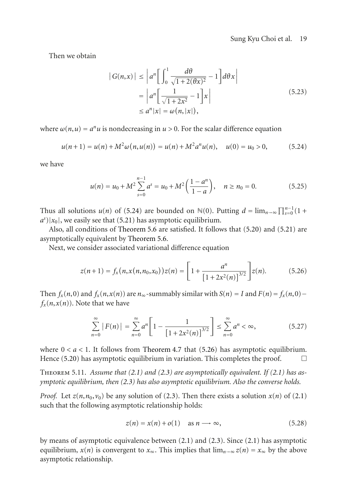## <span id="page-18-0"></span>Sung Kyu Choi et al. 19

Then we obtain

$$
|G(n,x)| \leq \left| a^n \left[ \int_0^1 \frac{d\theta}{\sqrt{1+2(\theta x)^2}} - 1 \right] d\theta x \right|
$$
  
= 
$$
\left| a^n \left[ \frac{1}{\sqrt{1+2x^2}} - 1 \right] x \right|
$$
  
\$\leq a^n |x| = \omega(n, |x|), \qquad (5.23)\$

where  $\omega(n, u) = a^n u$  is nondecreasing in  $u > 0$ . For the scalar difference equation

$$
u(n+1) = u(n) + M^2 \omega(n, u(n)) = u(n) + M^2 a^n u(n), \quad u(0) = u_0 > 0,
$$
 (5.24)

we have

$$
u(n) = u_0 + M^2 \sum_{s=0}^{n-1} a^s = u_0 + M^2 \left( \frac{1 - a^n}{1 - a} \right), \quad n \ge n_0 = 0.
$$
 (5.25)

Thus all solutions  $u(n)$  of [\(5.24\)](#page-18-0) are bounded on  $\mathbb{N}(0)$ . Putting  $d = \lim_{n \to \infty} \prod_{k=0}^{n-1} (1 +$  $a^s$ )| $x_0$ |, we easily see that [\(5.21\)](#page-17-2) has asymptotic equilibrium.

Also, all conditions of [Theorem 5.6](#page-16-0) are satisfied. It follows that [\(5.20\)](#page-17-1) and [\(5.21\)](#page-17-2) are asymptotically equivalent by [Theorem 5.6.](#page-16-0)

Next, we consider associated variational difference equation

$$
z(n+1) = f_x(n, x(n, n_0, x_0)) z(n) = \left[1 + \frac{a^n}{\left[1 + 2x^2(n)\right]^{3/2}}\right] z(n). \tag{5.26}
$$

Then  $f_x(n,0)$  and  $f_y(n,x(n))$  are  $n_{\infty}$ -summably similar with  $S(n) = I$  and  $F(n) = f_x(n,0) - I$  $f_x(n, x(n))$ . Note that we have

<span id="page-18-1"></span>
$$
\sum_{n=0}^{\infty} |F(n)| = \sum_{n=0}^{\infty} a^n \left[ 1 - \frac{1}{\left[ 1 + 2x^2(n) \right]^{3/2}} \right] \le \sum_{n=0}^{\infty} a^n < \infty,
$$
 (5.27)

where  $0 < a < 1$ . It follows from [Theorem 4.7](#page-11-3) that [\(5.26\)](#page-18-1) has asymptotic equilibrium. Hence [\(5.20\)](#page-17-1) has asymptotic equilibrium in variation. This completes the proof.  $\Box$ 

Theorem 5.11. *Assume that [\(2.1\)](#page-1-0) and [\(2.3\)](#page-1-2) are asymptotically equivalent. If [\(2.1\)](#page-1-0) has asymptotic equilibrium, then [\(2.3\)](#page-1-2) has also asymptotic equilibrium. Also the converse holds.*

*Proof.* Let  $z(n, n_0, v_0)$  be any solution of [\(2.3\)](#page-1-2). Then there exists a solution  $x(n)$  of [\(2.1\)](#page-1-0) such that the following asymptotic relationship holds:

$$
z(n) = x(n) + o(1) \quad \text{as } n \longrightarrow \infty,
$$
 (5.28)

by means of asymptotic equivalence between [\(2.1\)](#page-1-0) and [\(2.3\)](#page-1-2). Since [\(2.1\)](#page-1-0) has asymptotic equilibrium,  $x(n)$  is convergent to  $x_{\infty}$ . This implies that  $\lim_{n\to\infty} z(n) = x_{\infty}$  by the above asymptotic relationship.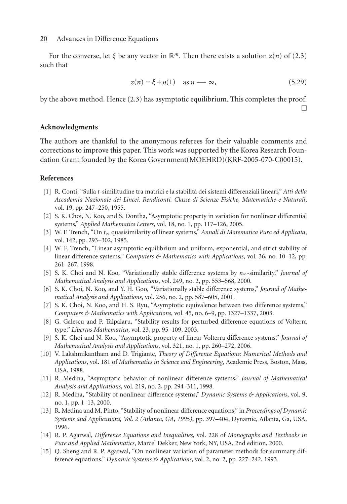For the converse, let  $\xi$  be any vector in  $\mathbb{R}^m$ . Then there exists a solution  $z(n)$  of [\(2.3\)](#page-1-2) such that

$$
z(n) = \xi + o(1) \quad \text{as } n \longrightarrow \infty,
$$
 (5.29)

by the above method. Hence [\(2.3\)](#page-1-2) has asymptotic equilibrium. This completes the proof.  $\Box$ 

## **Acknowledgments**

The authors are thankful to the anonymous referees for their valuable comments and corrections to improve this paper. This work was supported by the Korea Research Foundation Grant founded by the Korea Government(MOEHRD)(KRF-2005-070-C00015).

## <span id="page-19-0"></span>**References**

- <span id="page-19-1"></span>[1] R. Conti, "Sulla *t*-similitudine tra matrici e la stabilita dei sistemi di ` fferenziali lineari," *Atti della Accademia Nazionale dei Lincei. Rendiconti. Classe di Scienze Fisiche, Matematiche e Naturali*, vol. 19, pp. 247–250, 1955.
- <span id="page-19-2"></span>[2] S. K. Choi, N. Koo, and S. Dontha, "Asymptotic property in variation for nonlinear differential systems," *Applied Mathematics Letters*, vol. 18, no. 1, pp. 117–126, 2005.
- <span id="page-19-3"></span>[3] W. F. Trench, "On *t*<sup>∞</sup> quasisimilarity of linear systems," *Annali di Matematica Pura ed Applicata*, vol. 142, pp. 293–302, 1985.
- <span id="page-19-4"></span>[4] W. F. Trench, "Linear asymptotic equilibrium and uniform, exponential, and strict stability of linear difference systems," *Computers & Mathematics with Applications*, vol. 36, no. 10–12, pp. 261–267, 1998.
- <span id="page-19-5"></span>[5] S. K. Choi and N. Koo, "Variationally stable difference systems by *n*∞-similarity," *Journal of Mathematical Analysis and Applications*, vol. 249, no. 2, pp. 553–568, 2000.
- <span id="page-19-6"></span>[6] S. K. Choi, N. Koo, and Y. H. Goo, "Variationally stable difference systems," *Journal of Mathematical Analysis and Applications*, vol. 256, no. 2, pp. 587–605, 2001.
- <span id="page-19-7"></span>[7] S. K. Choi, N. Koo, and H. S. Ryu, "Asymptotic equivalence between two difference systems," *Computers & Mathematics with Applications*, vol. 45, no. 6–9, pp. 1327–1337, 2003.
- <span id="page-19-15"></span>[8] G. Galescu and P. Talpalaru, "Stability results for perturbed difference equations of Volterra type," *Libertas Mathematica*, vol. 23, pp. 95–109, 2003.
- <span id="page-19-8"></span>[9] S. K. Choi and N. Koo, "Asymptotic property of linear Volterra difference systems," *Journal of Mathematical Analysis and Applications*, vol. 321, no. 1, pp. 260–272, 2006.
- <span id="page-19-9"></span>[10] V. Lakshmikantham and D. Trigiante, *Theory of Difference Equations: Numerical Methods and Applications*, vol. 181 of *Mathematics in Science and Engineering*, Academic Press, Boston, Mass, USA, 1988.
- <span id="page-19-10"></span>[11] R. Medina, "Asymptotic behavior of nonlinear difference systems," *Journal of Mathematical Analysis and Applications*, vol. 219, no. 2, pp. 294–311, 1998.
- <span id="page-19-14"></span>[12] R. Medina, "Stability of nonlinear difference systems," *Dynamic Systems & Applications*, vol. 9, no. 1, pp. 1–13, 2000.
- <span id="page-19-11"></span>[13] R. Medina and M. Pinto, "Stability of nonlinear difference equations," in *Proceedings of Dynamic Systems and Applications, Vol. 2 (Atlanta, GA, 1995)*, pp. 397–404, Dynamic, Atlanta, Ga, USA, 1996.
- <span id="page-19-12"></span>[14] R. P. Agarwal, *Difference Equations and Inequalities*, vol. 228 of *Monographs and Textbooks in Pure and Applied Mathematics*, Marcel Dekker, New York, NY, USA, 2nd edition, 2000.
- <span id="page-19-13"></span>[15] Q. Sheng and R. P. Agarwal, "On nonlinear variation of parameter methods for summary difference equations," *Dynamic Systems & Applications*, vol. 2, no. 2, pp. 227–242, 1993.